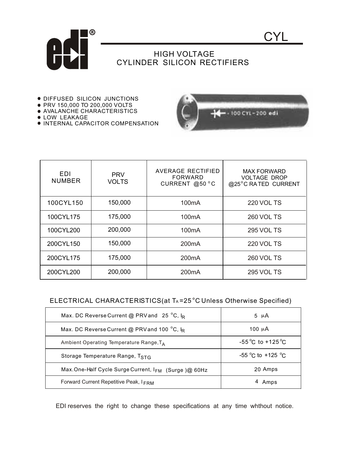

## HIGH VOLTAGE CYLINDER SILICON RECTIFIERS

- **DIFFUSED SILICON JUNCTIONS**
- PRV 150,000 TO 200,000 VOLTS AVALANCHE CHARACTERISTICS
- 
- **.** LOW LEAKAGE
- **. INTERNAL CAPACITOR COMPENSATION**



 $\mathsf{C}\mathsf{Y}$ 

| EDI<br><b>NUMBER</b> | <b>PRV</b><br><b>VOLTS</b> | <b>AVERAGE RECTIFIED</b><br>FORWARD<br>CURRENT @50 °C | <b>MAX FORWARD</b><br><b>VOLTAGE DROP</b><br>@25°C RATED CURRENT |
|----------------------|----------------------------|-------------------------------------------------------|------------------------------------------------------------------|
| 100CYL150            | 150,000                    | 100 <sub>m</sub> A                                    | <b>220 VOL TS</b>                                                |
| 100CYL175            | 175,000                    | 100 <sub>m</sub> A                                    | <b>260 VOL TS</b>                                                |
| 100CYL200            | 200,000                    | 100 <sub>m</sub> A                                    | <b>295 VOL TS</b>                                                |
| 200CYL150            | 150,000                    | 200 <sub>m</sub> A                                    | 220 VOL TS                                                       |
| 200CYL175            | 175,000                    | 200 <sub>m</sub> A                                    | <b>260 VOL TS</b>                                                |
| 200CYL200            | 200,000                    | 200 <sub>m</sub> A                                    | <b>295 VOL TS</b>                                                |

## ELECTRICAL CHARACTERISTICS(at TA=25°C Unless Otherwise Specified)

| Max. DC Reverse Current @ PRV and 25 °C, $I_R$      | 5 $\mu$ A                           |
|-----------------------------------------------------|-------------------------------------|
| Max. DC Reverse Current @ PRV and 100 °C, IR        | 100 $\mu$ A                         |
| Ambient Operating Temperature Range, $T_A$          | $-55^{\circ}$ C to $+125^{\circ}$ C |
| Storage Temperature Range, TSTG                     | -55 °C to +125 °C                   |
| Max.One-Half Cycle Surge Current, IFM (Surge)@ 60Hz | 20 Amps                             |
| Forward Current Repetitive Peak, IFRM               | 4 Amps                              |

EDI reserves the right to change these specifications at any time whthout notice.